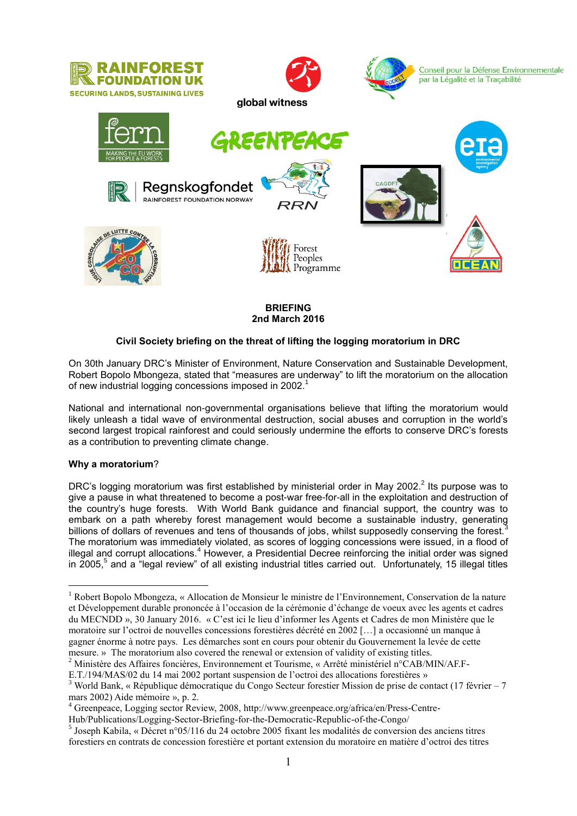

## **BRIEFING 2nd March 2016**

## **Civil Society briefing on the threat of lifting the logging moratorium in DRC**

On 30th January DRC's Minister of Environment, Nature Conservation and Sustainable Development, Robert Bopolo Mbongeza, stated that "measures are underway" to lift the moratorium on the allocation of new industrial logging concessions imposed in 2002.<sup>1</sup>

National and international non-governmental organisations believe that lifting the moratorium would likely unleash a tidal wave of environmental destruction, social abuses and corruption in the world's second largest tropical rainforest and could seriously undermine the efforts to conserve DRC's forests as a contribution to preventing climate change.

## **Why a moratorium**?

<u>.</u>

DRC's logging moratorium was first established by ministerial order in May 2002.<sup>2</sup> Its purpose was to give a pause in what threatened to become a post-war free-for-all in the exploitation and destruction of the country's huge forests. With World Bank guidance and financial support, the country was to embark on a path whereby forest management would become a sustainable industry, generating billions of dollars of revenues and tens of thousands of jobs, whilst supposedly conserving the forest. The moratorium was immediately violated, as scores of logging concessions were issued, in a flood of illegal and corrupt allocations.<sup>4</sup> However, a Presidential Decree reinforcing the initial order was signed in 2005, 5 and a "legal review" of all existing industrial titles carried out. Unfortunately, 15 illegal titles

Hub/Publications/Logging-Sector-Briefing-for-the-Democratic-Republic-of-the-Congo/

<sup>&</sup>lt;sup>1</sup> Robert Bopolo Mbongeza, « Allocation de Monsieur le ministre de l'Environnement, Conservation de la nature et Développement durable prononcée à l'occasion de la cérémonie d'échange de voeux avec les agents et cadres du MECNDD », 30 January 2016. « C'est ici le lieu d'informer les Agents et Cadres de mon Ministère que le moratoire sur l'octroi de nouvelles concessions forestières décrété en 2002 […] a occasionné un manque à gagner énorme à notre pays. Les démarches sont en cours pour obtenir du Gouvernement la levée de cette mesure. » The moratorium also covered the renewal or extension of validity of existing titles.

<sup>2</sup> Ministère des Affaires foncières, Environnement et Tourisme, « Arrêté ministériel n°CAB/MIN/AF.F-E.T./194/MAS/02 du 14 mai 2002 portant suspension de l'octroi des allocations forestières »

<sup>3</sup> World Bank, « République démocratique du Congo Secteur forestier Mission de prise de contact (17 février – 7 mars 2002) Aide mémoire », p. 2.

<sup>4</sup> Greenpeace, Logging sector Review, 2008, http://www.greenpeace.org/africa/en/Press-Centre-

<sup>&</sup>lt;sup>5</sup> Joseph Kabila, « Décret n°05/116 du 24 octobre 2005 fixant les modalités de conversion des anciens titres forestiers en contrats de concession forestière et portant extension du moratoire en matière d'octroi des titres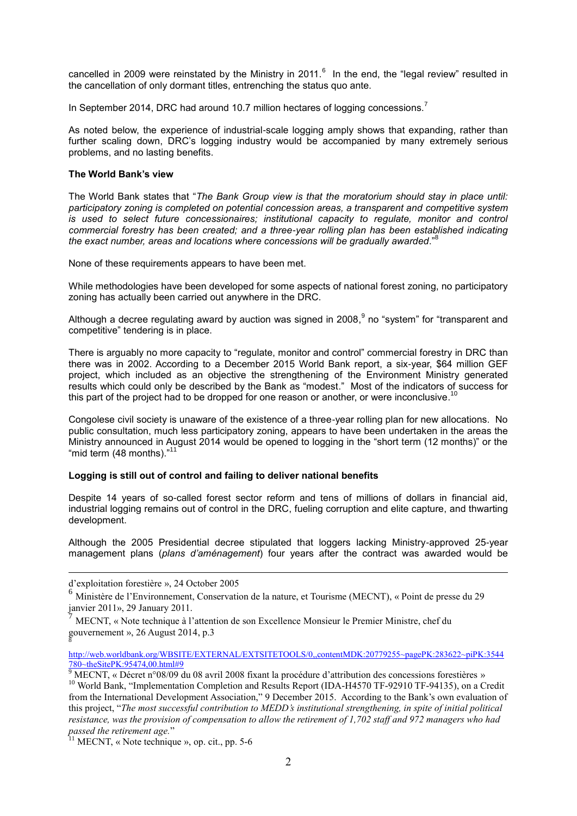cancelled in 2009 were reinstated by the Ministry in 2011.<sup>6</sup> In the end, the "legal review" resulted in the cancellation of only dormant titles, entrenching the status quo ante.

In September 2014, DRC had around 10.7 million hectares of logging concessions.<sup>7</sup>

As noted below, the experience of industrial-scale logging amply shows that expanding, rather than further scaling down, DRC's logging industry would be accompanied by many extremely serious problems, and no lasting benefits.

### **The World Bank's view**

The World Bank states that "*The Bank Group view is that the moratorium should stay in place until: participatory zoning is completed on potential concession areas, a transparent and competitive system is used to select future concessionaires; institutional capacity to regulate, monitor and control commercial forestry has been created; and a three-year rolling plan has been established indicating the exact number, areas and locations where concessions will be gradually awarded*." 8

None of these requirements appears to have been met.

While methodologies have been developed for some aspects of national forest zoning, no participatory zoning has actually been carried out anywhere in the DRC.

Although a decree regulating award by auction was signed in 2008,  $9$  no "system" for "transparent and competitive" tendering is in place.

There is arguably no more capacity to "regulate, monitor and control" commercial forestry in DRC than there was in 2002. According to a December 2015 World Bank report, a six-year, \$64 million GEF project, which included as an objective the strengthening of the Environment Ministry generated results which could only be described by the Bank as "modest." Most of the indicators of success for this part of the project had to be dropped for one reason or another, or were inconclusive.<sup>10</sup>

Congolese civil society is unaware of the existence of a three-year rolling plan for new allocations. No public consultation, much less participatory zoning, appears to have been undertaken in the areas the Ministry announced in August 2014 would be opened to logging in the "short term (12 months)" or the "mid term (48 months)."<sup>11</sup>

#### **Logging is still out of control and failing to deliver national benefits**

Despite 14 years of so-called forest sector reform and tens of millions of dollars in financial aid, industrial logging remains out of control in the DRC, fueling corruption and elite capture, and thwarting development.

Although the 2005 Presidential decree stipulated that loggers lacking Ministry-approved 25-year management plans (*plans d'aménagement*) four years after the contract was awarded would be

 $\overline{a}$ 

[http://web.worldbank.org/WBSITE/EXTERNAL/EXTSITETOOLS/0,,contentMDK:20779255~pagePK:283622~piPK:3544](http://web.worldbank.org/WBSITE/EXTERNAL/EXTSITETOOLS/0,,contentMDK:20779255~pagePK:283622~piPK:3544780~theSitePK:95474,00.html#9) 780~theSitePK: 95474,00.html#9

d'exploitation forestière », 24 October 2005

<sup>6</sup> Ministère de l'Environnement, Conservation de la nature, et Tourisme (MECNT), « Point de presse du 29 janvier 2011», 29 January 2011.

<sup>7</sup> MECNT, « Note technique à l'attention de son Excellence Monsieur le Premier Ministre, chef du gouvernement », 26 August 2014, p.3 8

<sup>9</sup> MECNT, « Décret n°08/09 du 08 avril 2008 fixant la procédure d'attribution des concessions forestières » <sup>10</sup> World Bank, "Implementation Completion and Results Report (IDA-H4570 TF-92910 TF-94135), on a Credit from the International Development Association," 9 December 2015. According to the Bank's own evaluation of this project, "*The most successful contribution to MEDD's institutional strengthening, in spite of initial political resistance, was the provision of compensation to allow the retirement of 1,702 staff and 972 managers who had passed the retirement age.*"

 $11$  MECNT, « Note technique », op. cit., pp. 5-6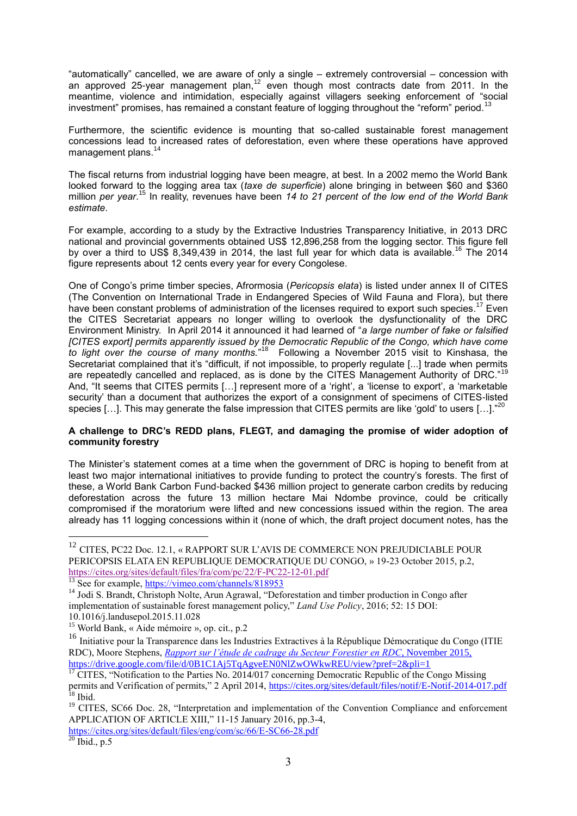"automatically" cancelled, we are aware of only a single – extremely controversial – concession with an approved 25-year management plan,<sup>12</sup> even though most contracts date from 2011. In the meantime, violence and intimidation, especially against villagers seeking enforcement of "social investment" promises, has remained a constant feature of logging throughout the "reform" period.<sup>1</sup>

Furthermore, the scientific evidence is mounting that so-called sustainable forest management concessions lead to increased rates of deforestation, even where these operations have approved management plans.<sup>14</sup>

The fiscal returns from industrial logging have been meagre, at best. In a 2002 memo the World Bank looked forward to the logging area tax (*taxe de superficie*) alone bringing in between \$60 and \$360 million *per year*. <sup>15</sup> In reality, revenues have been *14 to 21 percent of the low end of the World Bank estimate*.

For example, according to a study by the Extractive Industries Transparency Initiative, in 2013 DRC national and provincial governments obtained US\$ 12,896,258 from the logging sector. This figure fell by over a third to US\$ 8.349.439 in 2014, the last full year for which data is available.<sup>16</sup> The 2014 figure represents about 12 cents every year for every Congolese.

One of Congo's prime timber species, Afrormosia (*Pericopsis elata*) is listed under annex II of CITES (The Convention on International Trade in Endangered Species of Wild Fauna and Flora), but there have been constant problems of administration of the licenses required to export such species.<sup>17</sup> Even the CITES Secretariat appears no longer willing to overlook the dysfunctionality of the DRC Environment Ministry. In April 2014 it announced it had learned of "*a large number of fake or falsified [CITES export] permits apparently issued by the Democratic Republic of the Congo, which have come*  to light over the course of many months.<sup>"18</sup> Following a November 2015 visit to Kinshasa, the Secretariat complained that it's "difficult, if not impossible, to properly regulate [...] trade when permits are repeatedly cancelled and replaced, as is done by the CITES Management Authority of DRC."<sup>19</sup> And, "It seems that CITES permits […] represent more of a 'right', a 'license to export', a 'marketable security' than a document that authorizes the export of a consignment of specimens of CITES-listed species [...]. This may generate the false impression that CITES permits are like 'gold' to users [...]."<sup>20</sup>

## **A challenge to DRC's REDD plans, FLEGT, and damaging the promise of wider adoption of community forestry**

The Minister's statement comes at a time when the government of DRC is hoping to benefit from at least two major international initiatives to provide funding to protect the country's forests. The first of these, a World Bank Carbon Fund-backed \$436 million project to generate carbon credits by reducing deforestation across the future 13 million hectare Mai Ndombe province, could be critically compromised if the moratorium were lifted and new concessions issued within the region. The area already has 11 logging concessions within it (none of which, the draft project document notes, has the

1

 $^{12}$  CITES, PC22 Doc. 12.1, « RAPPORT SUR L'AVIS DE COMMERCE NON PREJUDICIABLE POUR PERICOPSIS ELATA EN REPUBLIQUE DEMOCRATIQUE DU CONGO, » 19-23 October 2015, p.2, <https://cites.org/sites/default/files/fra/com/pc/22/F-PC22-12-01.pdf>

See for example,<https://vimeo.com/channels/818953>

<sup>&</sup>lt;sup>14</sup> Jodi S. Brandt, Christoph Nolte, Arun Agrawal, "Deforestation and timber production in Congo after implementation of sustainable forest management policy," *Land Use Policy*, 2016; 52: 15 DOI: 10.1016/j.landusepol.2015.11.028

<sup>15</sup> World Bank, « Aide mémoire », op. cit., p.2

<sup>16</sup> Initiative pour la Transparence dans les Industries Extractives à la République Démocratique du Congo (ITIE RDC), Moore Stephens, *[Rapport sur l'étude de cadrage du Secteur Forestier en RDC](https://drive.google.com/file/d/0B1C1Aj5TqAgveEN0NlZwOWkwREU/view?usp=drive_web)*, November 2015, https://drive.google.com/file/d/0B1C1Aj5TqAgveEN0NlZwOWkwREU/view?pref=2&pli=1

<sup>&</sup>lt;sup>17</sup> CITES. "Notification to the Parties No. 2014/017 concerning Democratic Republic of the Congo Missing permits and Verification of permits," 2 April 2014,<https://cites.org/sites/default/files/notif/E-Notif-2014-017.pdf>  $^{18}$  Ibid.

<sup>&</sup>lt;sup>19</sup> CITES, SC66 Doc. 28, "Interpretation and implementation of the Convention Compliance and enforcement APPLICATION OF ARTICLE XIII," 11-15 January 2016, pp.3-4,

<https://cites.org/sites/default/files/eng/com/sc/66/E-SC66-28.pdf>

 $20$  Ibid., p.5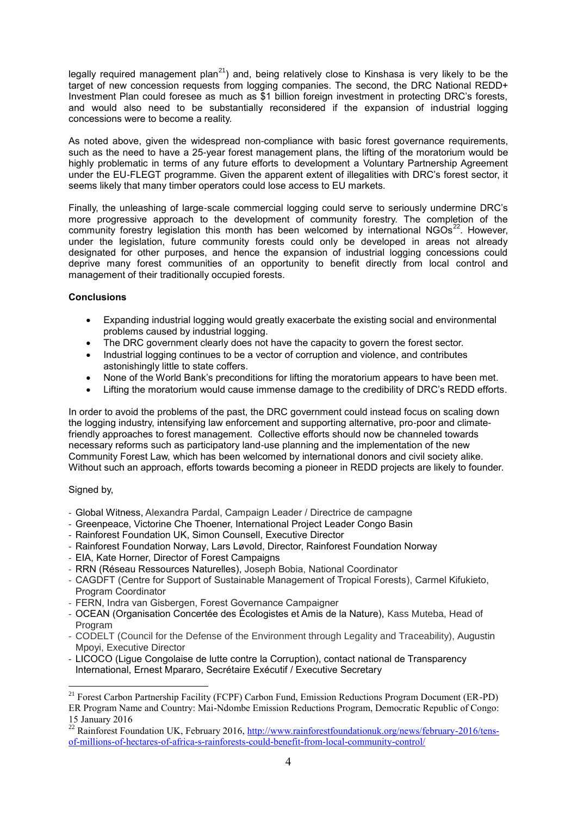legally required management plan<sup>21</sup>) and, being relatively close to Kinshasa is very likely to be the target of new concession requests from logging companies. The second, the DRC National REDD+ Investment Plan could foresee as much as \$1 billion foreign investment in protecting DRC's forests, and would also need to be substantially reconsidered if the expansion of industrial logging concessions were to become a reality.

As noted above, given the widespread non-compliance with basic forest governance requirements, such as the need to have a 25-year forest management plans, the lifting of the moratorium would be highly problematic in terms of any future efforts to development a Voluntary Partnership Agreement under the EU-FLEGT programme. Given the apparent extent of illegalities with DRC's forest sector, it seems likely that many timber operators could lose access to EU markets.

Finally, the unleashing of large-scale commercial logging could serve to seriously undermine DRC's more progressive approach to the development of community forestry. The completion of the community forestry legislation this month has been welcomed by international NGOs<sup>22</sup>. However, under the legislation, future community forests could only be developed in areas not already designated for other purposes, and hence the expansion of industrial logging concessions could deprive many forest communities of an opportunity to benefit directly from local control and management of their traditionally occupied forests.

# **Conclusions**

- Expanding industrial logging would greatly exacerbate the existing social and environmental problems caused by industrial logging.
- The DRC government clearly does not have the capacity to govern the forest sector.
- Industrial logging continues to be a vector of corruption and violence, and contributes astonishingly little to state coffers.
- None of the World Bank's preconditions for lifting the moratorium appears to have been met.
- Lifting the moratorium would cause immense damage to the credibility of DRC's REDD efforts.

In order to avoid the problems of the past, the DRC government could instead focus on scaling down the logging industry, intensifying law enforcement and supporting alternative, pro-poor and climatefriendly approaches to forest management. Collective efforts should now be channeled towards necessary reforms such as participatory land-use planning and the implementation of the new Community Forest Law, which has been welcomed by international donors and civil society alike. Without such an approach, efforts towards becoming a pioneer in REDD projects are likely to founder.

# Signed by,

- Global Witness, Alexandra Pardal, Campaign Leader / Directrice de campagne
- Greenpeace, Victorine Che Thoener, International Project Leader Congo Basin
- Rainforest Foundation UK, Simon Counsell, Executive Director
- Rainforest Foundation Norway, Lars Løvold, Director, Rainforest Foundation Norway
- EIA, Kate Horner, Director of Forest Campaigns
- RRN (Réseau Ressources Naturelles), Joseph Bobia, National Coordinator
- CAGDFT (Centre for Support of Sustainable Management of Tropical Forests), Carmel Kifukieto, Program Coordinator
- FERN, Indra van Gisbergen, Forest Governance Campaigner
- OCEAN (Organisation Concertée des Écologistes et Amis de la Nature), Kass Muteba, Head of Program
- CODELT (Council for the Defense of the Environment through Legality and Traceability), Augustin Mpoyi, Executive Director
- LICOCO (Ligue Congolaise de lutte contre la Corruption), contact national de Transparency International, Ernest Mpararo, Secrétaire Exécutif / Executive Secretary

<sup>&</sup>lt;u>.</u> <sup>21</sup> Forest Carbon Partnership Facility (FCPF) Carbon Fund, Emission Reductions Program Document (ER-PD) ER Program Name and Country: Mai-Ndombe Emission Reductions Program, Democratic Republic of Congo: 15 January 2016

<sup>&</sup>lt;sup>22</sup> Rainforest Foundation UK, February 2016, [http://www.rainforestfoundationuk.org/news/february-2016/tens](http://www.rainforestfoundationuk.org/news/february-2016/tens-of-millions-of-hectares-of-africa-s-rainforests-could-benefit-from-local-community-control/)[of-millions-of-hectares-of-africa-s-rainforests-could-benefit-from-local-community-control/](http://www.rainforestfoundationuk.org/news/february-2016/tens-of-millions-of-hectares-of-africa-s-rainforests-could-benefit-from-local-community-control/)